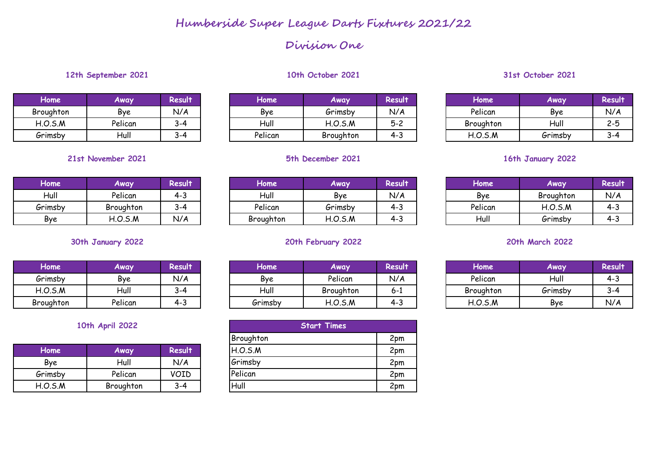## **Division One**

## **12th September 2021 10th October 2021 31st October 2021**

| Home      | Away    | Result  |
|-----------|---------|---------|
| Broughton | Bye     | N/A     |
| H.O.S.M   | Pelican | $3 - 4$ |
| Grimsby   | Hull    | २-4     |

| Home         | Away    | <b>Result</b> | Home    | Away      | Result                           | Home      | Away    | Result  |
|--------------|---------|---------------|---------|-----------|----------------------------------|-----------|---------|---------|
| Broughton    | Bve     | N/A           | Bve     | Grimsby   | N/A                              | Pelican   | Bve     | N/A     |
| H.O.S.M      | Pelican | --د           | Hull    | H.O.S.M   | $\mathbf{r}$ $\mathbf{r}$<br>ے-כ | Broughton | Hull    | $2 - 5$ |
| .<br>Grimsby | Hull    | ⌒<br>.        | Pelican | Broughton | ن-+                              | H.O.S.M   | Grimsby | $3-4$   |

## **Home Away Result Home Away Result Home Away Result** Hull | Pelican | 4-3 | | Hull | Bye | N/A | | Bye | Broughton | N/A Grimsby | Broughton | 3-4 | | Pelican | Grimsby | 4-3 | | Pelican | H.O.S.M | 4-3 Bye | H.O.S.M | N/A | | Broughton | H.O.S.M | 4-3 | | Hull | *G*rimsby | 4-3

| Home      | Away    | <b>Result</b> |
|-----------|---------|---------------|
| Grimsby   | Bve     | N/A           |
| H.O.S.M   | Hull    | $3 - 4$       |
| Broughton | Pelican | 4-3           |

## **10th April 2022**

| Home    | Away      | Result      |
|---------|-----------|-------------|
| Bye     | Hull      | N/A         |
| Grimsby | Pelican   | <b>VOID</b> |
| H.O.S.M | Broughton | २-4         |

| Home      | Away    | Result  |
|-----------|---------|---------|
| Hull      | Bve     | N/A     |
| Pelican   | Grimsby | 4-3     |
| Broughton | H.O.S.M | $4 - 3$ |

## **30th January 2022 20th February 2022 20th March 2022**

| Home      | Away    | <b>Result</b> | Home    | Away      | Result'                          | Home      | Away    | Result |
|-----------|---------|---------------|---------|-----------|----------------------------------|-----------|---------|--------|
| Grimsby   | Bve     | N/A           | Bve     | Pelican   | N/A                              | Pelican   | Hull    | 4-3    |
| H.O.S.M   | Hull    | ⌒<br>.        | Hull    | Broughton | O-1                              | Broughton | Grimsby | २-४    |
| Broughton | Pelican | ฯ−๛           | Grimsby | H.O.S.M   | $\overline{\phantom{a}}$<br>— 4∼ | H.O.S.M   | Bye     | N/A    |

| 10th April 2022 |           |         | <b>Start Times</b> |     |
|-----------------|-----------|---------|--------------------|-----|
|                 |           |         | Broughton          | 2pm |
| Home            | Away      | Result  | H.O.S.M            | 2pm |
| Bye             | Hull      | N/A     | Grimsby            | 2pm |
| Grimsby         | Pelican   | VOID    | Pelican            | 2pm |
| H.O.S.M         | Broughton | $3 - 4$ | Hull               | 2pm |

| Home      | Away    | <b>Result</b> |
|-----------|---------|---------------|
| Pelican   | Bye     | N/A           |
| Broughton | Hull    | $2 - 5$       |
| H.O.S.M   | Grimsby |               |

## **21st November 2021 5th December 2021 16th January 2022**

| Home    | Away      | <b>Result</b> |
|---------|-----------|---------------|
| Bve     | Broughton | N/A           |
| Pelican | H.O.S.M   | $4 - 3$       |
| -lull   | Grimsby   | 4-3           |

| Home      | Away    | <b>Result</b> |
|-----------|---------|---------------|
| Pelican   | Hull    | $4 - 3$       |
| Broughton | Grimsby | 3-4           |
| H.O.S.M   | Bve     | N/A           |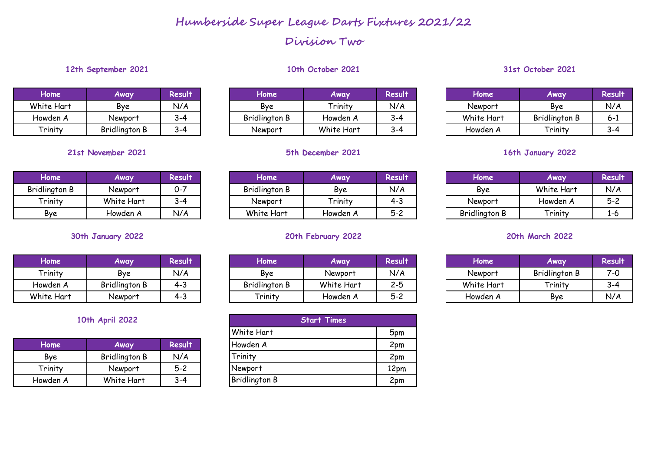## **Division Two**

## **12th September 2021 10th October 2021 31st October 2021**

| Home       | Away                 | <b>Result</b> |
|------------|----------------------|---------------|
| White Hart | Bye                  | N/A           |
| Howden A   | Newport              | $3 - 4$       |
| Trinity    | <b>Bridlington B</b> | 3-4           |

## **21st November 2021 5th December 2021 16th January 2022**

| Home                 | Away       | <b>Result</b> |
|----------------------|------------|---------------|
| <b>Bridlington B</b> | Newport    | $0 - 7$       |
| Trinity              | White Hart | $3-4$         |
| Bve                  | Howden A   | N/A           |

| Home       | Away                 | Result  |
|------------|----------------------|---------|
| Trinity    | Bye                  | N/A     |
| Howden A   | <b>Bridlington B</b> | $4 - 3$ |
| White Hart | Newport              | 4-3     |

## **10th April 2022**

| Home     | Away                 | Result |
|----------|----------------------|--------|
| Bve      | <b>Bridlington B</b> | N/A    |
| Trinity  | Newport              | $5-2$  |
| Howden A | White Hart           |        |

| Home       | Away           | Result | Home                 | <b>Away</b>                     | <b>Result</b> | Home        | <b>Away</b>          | Result |
|------------|----------------|--------|----------------------|---------------------------------|---------------|-------------|----------------------|--------|
| White Hart | Bve            | N/A    | Bye                  | Trinity                         | N/A           | Newport     | Bye                  | N/A    |
| Howden A   | <b>Newport</b> | . . Z  | <b>Bridlington B</b> | Howden A                        | --د           | White Hart  | <b>Bridlington B</b> | 6-1    |
| Trinity    | Dridlington D  |        | $N$ lownont          | $M/\hbar + \sigma L + \sigma +$ | $\sim$        | ٨ مەمەسىملا | Tninity              |        |

| Home,         | Away       | <b>Result</b> | Home                 | Away     | <b>Result</b> | Home                 | Away       | Result  |
|---------------|------------|---------------|----------------------|----------|---------------|----------------------|------------|---------|
| Bridlington B | Newbort    | 0-7           | <b>Bridlington B</b> | Bye      | N/A           | Bve                  | White Hart | N/A     |
| Trinity       | White Hart | $3-4$         | Newport              | Trinity  | $4 - 3$       | Newport              | Howden A   | $5 - 2$ |
| Bye           | Howden A   | N/A           | White Hart           | Howden A | $5 - 2$       | <b>Bridlington B</b> | Trinity    | 1-b     |

## **30th January 2022 20th February 2022 20th March 2022**

| Home       | <b>Away</b>          | Result         | Home                 | Away       | Result  | Home       | Away                 | Result |
|------------|----------------------|----------------|----------------------|------------|---------|------------|----------------------|--------|
| Trinity    | Bye                  | N/A            | Bye                  | Newbort    | N/A     | Newport    | <b>Bridlington B</b> | 7-0    |
| Howden A   | <b>Bridlington B</b> | - 2<br>ີ † −ັບ | <b>Bridlington B</b> | White Hart | $2 - 5$ | White Hart | Trinity              | $3-4$  |
| White Hart | Newport              | ີ<br>—−        | Trinity              | Howden A   | $5 - 2$ | Howden A   | Bve                  | N/A    |

|          | 10th April 2022      |         | <b>Start Times</b>   |      |  |  |  |
|----------|----------------------|---------|----------------------|------|--|--|--|
|          |                      |         | <b>White Hart</b>    | 5pm  |  |  |  |
| Home     | Away                 | Result  | Howden A             | 2pm  |  |  |  |
| Bye      | <b>Bridlington B</b> | N/A     | Trinity              | 2pm  |  |  |  |
| Trinity  | Newport              | $5 - 2$ | Newport              | 12pm |  |  |  |
| Howden A | White Hart           | $3 - 4$ | <b>Bridlington B</b> | 2pm  |  |  |  |

| Home      | Away          | Result  | Home          | Away       | <b>Result</b> | Home       | Away                 | <b>Result</b> |
|-----------|---------------|---------|---------------|------------|---------------|------------|----------------------|---------------|
| hite Hart | Bve           | N/A     | Bye           | Trinity    | N/A           | Newport    | Bve                  | N/A           |
| owden A   | Newbort       | $3 - 4$ | Bridlington B | Howden A   | 9∼4           | White Hart | <b>Bridlington B</b> | 0-l           |
| Trinity   | Bridlington B | $3 - 4$ | Newbort       | White Hart | -4            | Howden A   | Trinity              | 3-4           |

| Home                 | Away       | <b>Result</b> |
|----------------------|------------|---------------|
| Bye                  | White Hart | N/A           |
| Newport              | Howden A   | $5-2$         |
| <b>Bridlington B</b> | Trinity    | 1-6           |

| Home       | Away          | <b>Result</b> |
|------------|---------------|---------------|
| Newport    | Bridlington B | 7-0           |
| White Hart | Trinity       | $3-4$         |
| Howden A   | <b>Bye</b>    | N/A           |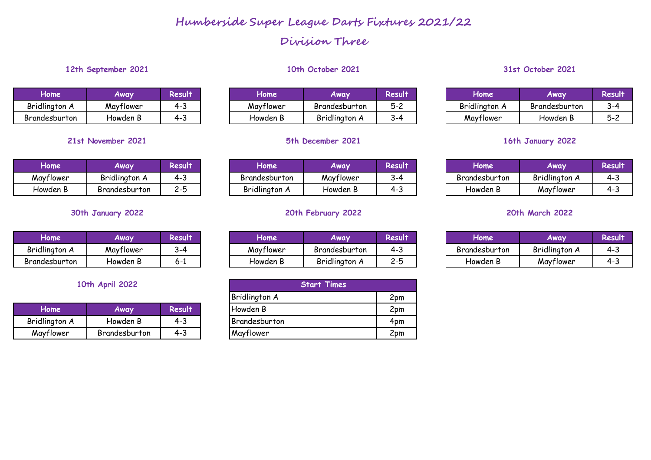## **Division Three**

## **12th September 2021 10th October 2021 31st October 2021**

| Home          | <b>Away</b> | <b>Result</b> |  |  |
|---------------|-------------|---------------|--|--|
| Bridlington A | Mayflower   | 4-3           |  |  |
| Brandesburton | Howden B    | 4-3           |  |  |

| <b>Home</b> | Away          | <b>Result</b> |
|-------------|---------------|---------------|
| Mayflower   | Bridlington A | 4-3           |
| Howden B    | Brandesburton | 2-5           |

| Home          | Away      | <b>Result</b> |
|---------------|-----------|---------------|
| Bridlington A | Mayflower | २-4           |
| Brandesburton | Howden B  | 6-1           |

## **10th April 2022**

| Home                 | Away          | Result  | Howden B             | 2pm |
|----------------------|---------------|---------|----------------------|-----|
| <b>Bridlington A</b> | Howden B      | $4 - 3$ | <b>Brandesburton</b> | 4pm |
| Mayflower            | Brandesburton | 4-3     | Mayflower            | 2pm |

| Home          | Away      | Result | Home      | Away                 | Result    | Home          | Away          | <b><esuıt< b=""></esuıt<></b> |
|---------------|-----------|--------|-----------|----------------------|-----------|---------------|---------------|-------------------------------|
| Bridlington A | Maytlower |        | Mayflower | Brandesburton        | にっ<br>5-C | Bridlington A | Brandesburton | 3-4                           |
| Brandesburton | 'Howden B | ⊸-     | Howden B  | <b>Bridlington A</b> | تە- ز     | Mayflower     | Howden B      |                               |

## **21st November 2021 5th December 2021 16th January 2022**

| Home      | <b>Away</b>          | Result                   | Home          | Away      | Result    | lome          | Away                      | esul 1 |
|-----------|----------------------|--------------------------|---------------|-----------|-----------|---------------|---------------------------|--------|
| Mayflower | <b>Bridlington A</b> | 4-                       | Brandesburton | Mayflower | $3 - \mu$ | Brandesburton | $\cdots$<br>Bridlington A | ີ +−ພ  |
| Howden B  | Brandesburton        | $\sim$ $\epsilon$<br>∠−ບ | Bridlington A | Howden L  | ـ ت−+     | Howden B      | Mayflower                 | ≁−ພ    |

## **30th January 2022 20th February 2022 20th March 2022**

| Home                 | Away      | Result | Home      | Away                 | Result | Home          | Away          | <esun< th=""></esun<> |
|----------------------|-----------|--------|-----------|----------------------|--------|---------------|---------------|-----------------------|
| <b>Bridlington A</b> | Maytlower | . . z  | Mayflower | Brandesburton        | ≁−ບ    | Brandesburton | Bridlington A | ີ້ີ່                  |
| Brandesburton        | Howden B  | U-1    | Howden B  | <b>Bridlington A</b> | د−ت    | Howden B      | Maytlower     |                       |

|            | 10th April 2022 |               | <b>Start Times</b>   |     |  |  |
|------------|-----------------|---------------|----------------------|-----|--|--|
|            |                 |               | <b>Bridlington A</b> | 2pm |  |  |
| Home       | Away            | <b>Result</b> | Howden B             | 2pm |  |  |
| Ilington A | Howden B        | $4 - 3$       | Brandesburton        | 4pm |  |  |
| ayflower   | Brandesburton   | $4 - 3$       | Mayflower            | 2pm |  |  |

| <b>Home</b>   | Away          | <b>Result</b> |  |  |
|---------------|---------------|---------------|--|--|
| Bridlington A | Brandesburton | 3-4           |  |  |
| Mayflower     | Howden B      | -5-2          |  |  |

| Home          | Away          | <b>Result</b> |
|---------------|---------------|---------------|
| Brandesburton | Bridlington A | 4-3           |
| Howden B      | Mayflower     | 4-3           |

| Home          | Away          | <b>Result</b> |
|---------------|---------------|---------------|
| Brandesburton | Bridlington A | 4-3           |
| Howden B      | Mayflower     | 4-3           |